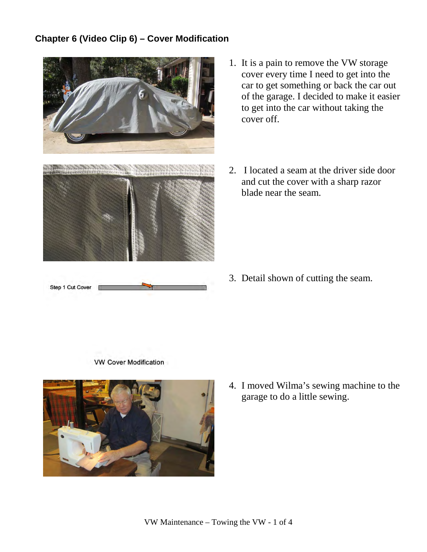## **Chapter 6 (Video Clip 6) – Cover Modification**



- 1. It is a pain to remove the VW storage cover every time I need to get into the car to get something or back the car out of the garage. I decided to make it easier to get into the car without taking the cover off.
- 2. I located a seam at the driver side door and cut the cover with a sharp razor blade near the seam.

3. Detail shown of cutting the seam.





4. I moved Wilma's sewing machine to the garage to do a little sewing.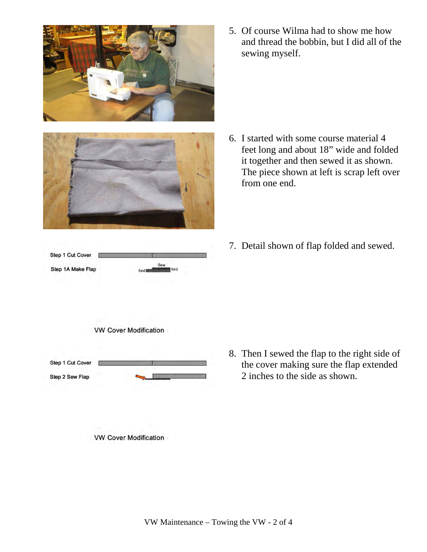



Step 1 Cut Cover Step 1A Make Flap fold **Film** 

5. Of course Wilma had to show me how and thread the bobbin, but I did all of the sewing myself.

- 6. I started with some course material 4 feet long and about 18" wide and folded it together and then sewed it as shown. The piece shown at left is scrap left over from one end.
- 7. Detail shown of flap folded and sewed.



- 
- **VW Cover Modification**

8. Then I sewed the flap to the right side of the cover making sure the flap extended 2 inches to the side as shown.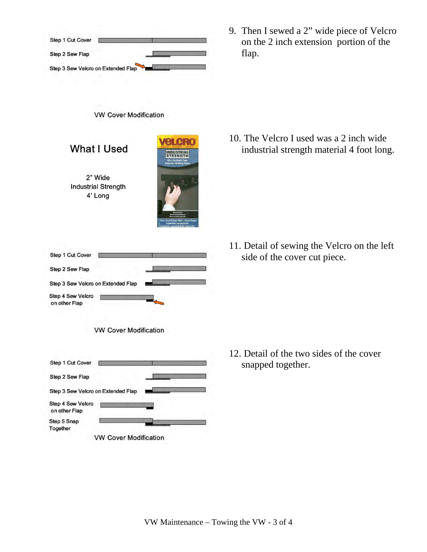